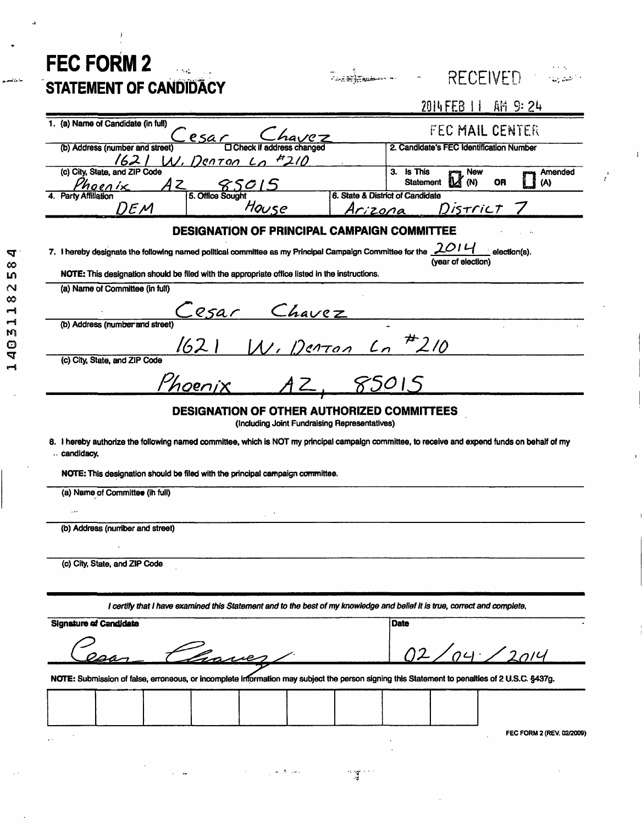| <b>FEC FORM 2</b>                                                                                                                                                                               | <b>RECEIVED</b>                                                                                                                                |
|-------------------------------------------------------------------------------------------------------------------------------------------------------------------------------------------------|------------------------------------------------------------------------------------------------------------------------------------------------|
| STATEMENT OF CANDIDACY                                                                                                                                                                          |                                                                                                                                                |
|                                                                                                                                                                                                 | 2014 FEB 11 AM 9:24                                                                                                                            |
| 1. (a) Name of Candidate (in full)<br><u>_esar</u>                                                                                                                                              | FEC MAIL CENTER                                                                                                                                |
| <b>O Check if address changed</b><br>(b) Address (number and street)                                                                                                                            | 2. Candidate's FEC Identification Number                                                                                                       |
| 1621<br><u>W. Denton Lo #210</u><br>(c) City, State, and ZIP Code                                                                                                                               | 3. Is This<br><sub>ng</sub> New<br>Amended                                                                                                     |
| 850<br>Z<br>Phoenix<br>5. Office Sought<br><b>Party Affiliation</b>                                                                                                                             | (N)<br><b>Statement</b><br><b>OR</b><br>(A)<br>6. State & District of Candidate                                                                |
| House<br>DEM                                                                                                                                                                                    | District<br><u>Arizona</u>                                                                                                                     |
| <b>DESIGNATION OF PRINCIPAL CAMPAIGN COMMITTEE</b><br>2014<br>7. I hereby designate the following named political committee as my Principal Campaign Committee for the<br>$\angle$ election(s). |                                                                                                                                                |
|                                                                                                                                                                                                 |                                                                                                                                                |
| (a) Name of Committee (in full)                                                                                                                                                                 |                                                                                                                                                |
| esar                                                                                                                                                                                            |                                                                                                                                                |
| (b) Address (number and street)                                                                                                                                                                 | Chavez<br>W. Denton Lo <sup>#</sup> 210                                                                                                        |
| 1621                                                                                                                                                                                            |                                                                                                                                                |
| (c) City, State, and ZIP Code                                                                                                                                                                   |                                                                                                                                                |
| hoenix                                                                                                                                                                                          | 85015                                                                                                                                          |
|                                                                                                                                                                                                 | DESIGNATION OF OTHER AUTHORIZED COMMITTEES                                                                                                     |
|                                                                                                                                                                                                 | (Including Joint Fundraising Representatives)                                                                                                  |
|                                                                                                                                                                                                 | 8. I hereby authorize the following named committee, which is NOT my principal campaign committee, to receive and expend funds on behalf of my |
| candidacy.                                                                                                                                                                                      |                                                                                                                                                |
| NOTE: This designation should be filed with the principal campaign committee.                                                                                                                   |                                                                                                                                                |
| (a) Name of Committee (in full)                                                                                                                                                                 |                                                                                                                                                |
| $\cdots$                                                                                                                                                                                        |                                                                                                                                                |
| (b) Address (number and street)                                                                                                                                                                 |                                                                                                                                                |
|                                                                                                                                                                                                 |                                                                                                                                                |
| (c) City, State, and ZIP Code                                                                                                                                                                   |                                                                                                                                                |
|                                                                                                                                                                                                 |                                                                                                                                                |
|                                                                                                                                                                                                 | I certify that I have examined this Statement and to the best of my knowledge and belief it is true, correct and complete,                     |
| <b>Signature of Candidate</b>                                                                                                                                                                   | <b>Date</b>                                                                                                                                    |
|                                                                                                                                                                                                 |                                                                                                                                                |
| havez                                                                                                                                                                                           | 02/04/2014                                                                                                                                     |
|                                                                                                                                                                                                 | NOTE: Submission of false, erroneous, or incomplete information may subject the person signing this Statement to penalties of 2 U.S.C. §437g.  |
|                                                                                                                                                                                                 |                                                                                                                                                |
|                                                                                                                                                                                                 |                                                                                                                                                |
|                                                                                                                                                                                                 | FEC FORM 2 (REV. 02/2009)                                                                                                                      |
|                                                                                                                                                                                                 |                                                                                                                                                |
| e Aliana                                                                                                                                                                                        | $\sim 100$                                                                                                                                     |

j

14031182584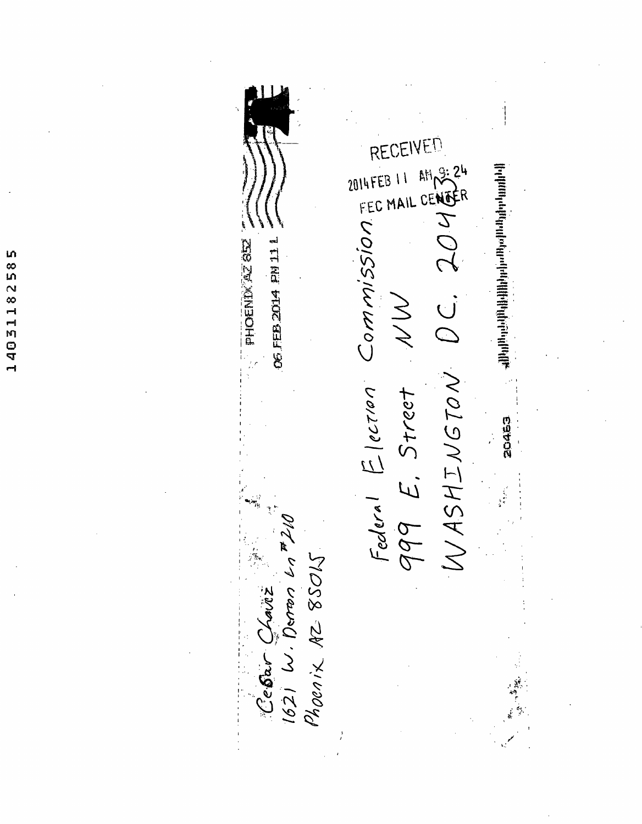14031182585

VFM RECF Federal Election NW SSION A shumo shingiya nashrida mashrida ma'lumot OS FEB 2014 FM 11 L **PHOENIMALE** 999 E. Street 20463 Cebar Chaviz<br>1621 W. Denon Ln 72N Phoenix AZ 85015